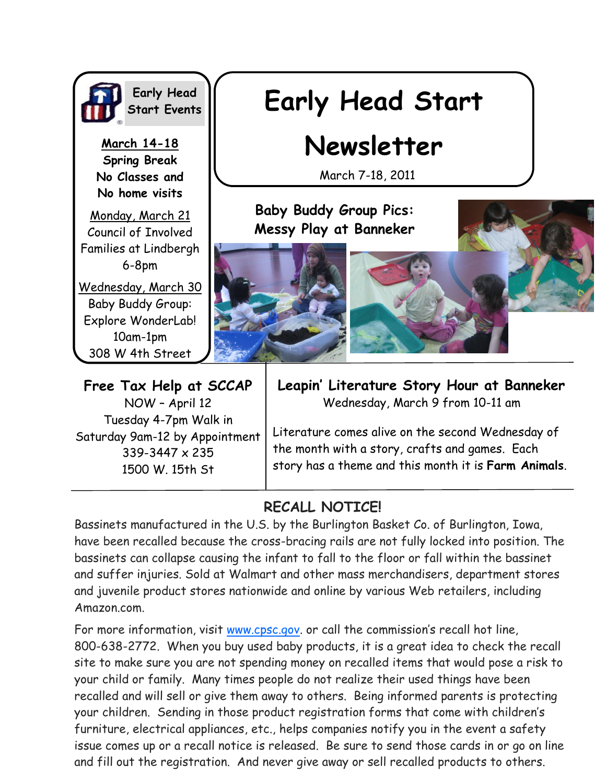

**Early Head Start Events**

**March 14-18 Spring Break No Classes and No home visits** 

Monday, March 21 Council of Involved Families at Lindbergh 6-8pm

Wednesday, March 30 Baby Buddy Group: Explore WonderLab! 10am-1pm 308 W 4th Street

# **Early Head Start**

## **Newsletter**

March 7-18, 2011

**Baby Buddy Group Pics: Messy Play at Banneker**





**Free Tax Help at SCCAP** NOW – April 12 Tuesday 4-7pm Walk in Saturday 9am-12 by Appointment 339-3447 x 235 1500 W. 15th St

**Leapin' Literature Story Hour at Banneker** Wednesday, March 9 from 10-11 am

Literature comes alive on the second Wednesday of the month with a story, crafts and games. Each story has a theme and this month it is **Farm Animals**.

### **RECALL NOTICE!**

Bassinets manufactured in the U.S. by the Burlington Basket Co. of Burlington, Iowa, have been recalled because the cross-bracing rails are not fully locked into position. The bassinets can collapse causing the infant to fall to the floor or fall within the bassinet and suffer injuries. Sold at Walmart and other mass merchandisers, department stores and juvenile product stores nationwide and online by various Web retailers, including Amazon.com.

For more information, visit [www.cpsc.gov](http://www.cpsc.gov). or call the commission's recall hot line, 800-638-2772. When you buy used baby products, it is a great idea to check the recall site to make sure you are not spending money on recalled items that would pose a risk to your child or family. Many times people do not realize their used things have been recalled and will sell or give them away to others. Being informed parents is protecting your children. Sending in those product registration forms that come with children's furniture, electrical appliances, etc., helps companies notify you in the event a safety issue comes up or a recall notice is released. Be sure to send those cards in or go on line and fill out the registration. And never give away or sell recalled products to others.